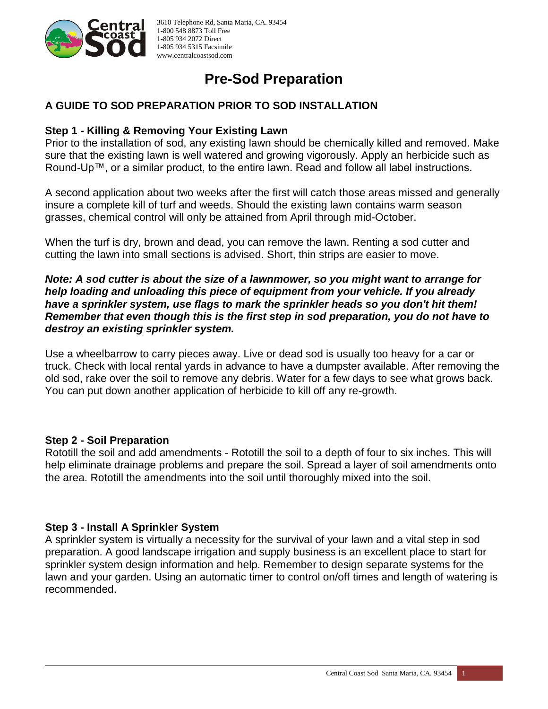

# **Pre-Sod Preparation**

## **A GUIDE TO SOD PREPARATION PRIOR TO SOD INSTALLATION**

### **Step 1 - Killing & Removing Your Existing Lawn**

Prior to the installation of sod, any existing lawn should be chemically killed and removed. Make sure that the existing lawn is well watered and growing vigorously. Apply an herbicide such as Round-Up™, or a similar product, to the entire lawn. Read and follow all label instructions.

A second application about two weeks after the first will catch those areas missed and generally insure a complete kill of turf and weeds. Should the existing lawn contains warm season grasses, chemical control will only be attained from April through mid-October.

When the turf is dry, brown and dead, you can remove the lawn. Renting a sod cutter and cutting the lawn into small sections is advised. Short, thin strips are easier to move.

#### *Note: A sod cutter is about the size of a lawnmower, so you might want to arrange for help loading and unloading this piece of equipment from your vehicle. If you already have a sprinkler system, use flags to mark the sprinkler heads so you don't hit them! Remember that even though this is the first step in sod preparation, you do not have to destroy an existing sprinkler system.*

Use a wheelbarrow to carry pieces away. Live or dead sod is usually too heavy for a car or truck. Check with local rental yards in advance to have a dumpster available. After removing the old sod, rake over the soil to remove any debris. Water for a few days to see what grows back. You can put down another application of herbicide to kill off any re-growth.

#### **Step 2 - Soil Preparation**

Rototill the soil and add amendments - Rototill the soil to a depth of four to six inches. This will help eliminate drainage problems and prepare the soil. Spread a layer of soil amendments onto the area. Rototill the amendments into the soil until thoroughly mixed into the soil.

## **Step 3 - Install A Sprinkler System**

A sprinkler system is virtually a necessity for the survival of your lawn and a vital step in sod preparation. A good landscape irrigation and supply business is an excellent place to start for sprinkler system design information and help. Remember to design separate systems for the lawn and your garden. Using an automatic timer to control on/off times and length of watering is recommended.